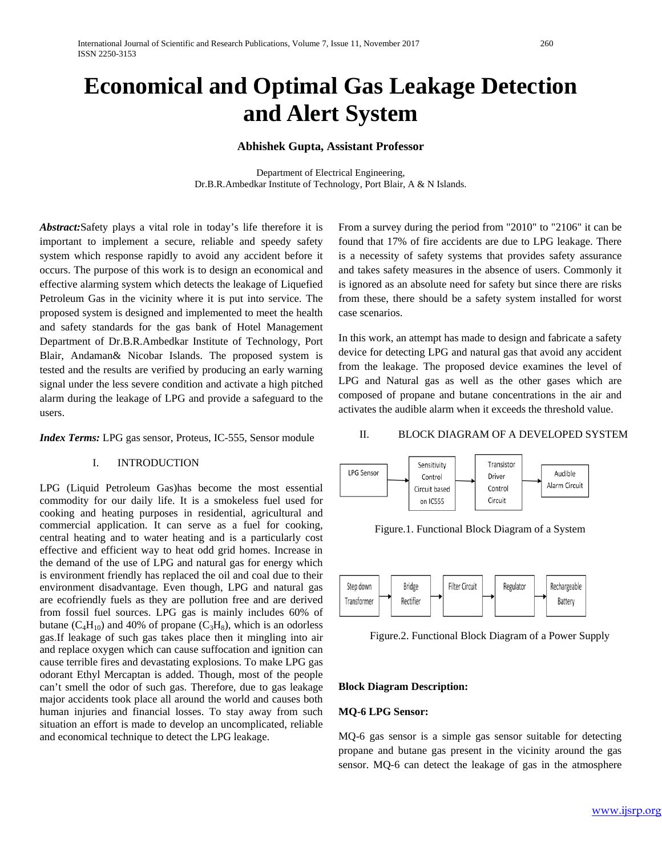# **Economical and Optimal Gas Leakage Detection and Alert System**

#### **Abhishek Gupta, Assistant Professor**

Department of Electrical Engineering, Dr.B.R.Ambedkar Institute of Technology, Port Blair, A & N Islands.

*Abstract:*Safety plays a vital role in today's life therefore it is important to implement a secure, reliable and speedy safety system which response rapidly to avoid any accident before it occurs. The purpose of this work is to design an economical and effective alarming system which detects the leakage of Liquefied Petroleum Gas in the vicinity where it is put into service. The proposed system is designed and implemented to meet the health and safety standards for the gas bank of Hotel Management Department of Dr.B.R.Ambedkar Institute of Technology, Port Blair, Andaman& Nicobar Islands. The proposed system is tested and the results are verified by producing an early warning signal under the less severe condition and activate a high pitched alarm during the leakage of LPG and provide a safeguard to the users.

*Index Terms:* LPG gas sensor, Proteus, IC-555, Sensor module

#### I. INTRODUCTION

LPG (Liquid Petroleum Gas)has become the most essential commodity for our daily life. It is a smokeless fuel used for cooking and heating purposes in residential, agricultural and commercial application. It can serve as a fuel for cooking, central heating and to water heating and is a particularly cost effective and efficient way to heat odd grid homes. Increase in the demand of the use of LPG and natural gas for energy which is environment friendly has replaced the oil and coal due to their environment disadvantage. Even though, LPG and natural gas are ecofriendly fuels as they are pollution free and are derived from fossil fuel sources. LPG gas is mainly includes 60% of butane  $(C_4H_{10})$  and 40% of propane  $(C_3H_8)$ , which is an odorless gas.If leakage of such gas takes place then it mingling into air and replace oxygen which can cause suffocation and ignition can cause terrible fires and devastating explosions. To make LPG gas odorant Ethyl Mercaptan is added. Though, most of the people can't smell the odor of such gas. Therefore, due to gas leakage major accidents took place all around the world and causes both human injuries and financial losses. To stay away from such situation an effort is made to develop an uncomplicated, reliable and economical technique to detect the LPG leakage.

From a survey during the period from "2010" to "2106" it can be found that 17% of fire accidents are due to LPG leakage. There is a necessity of safety systems that provides safety assurance and takes safety measures in the absence of users. Commonly it is ignored as an absolute need for safety but since there are risks from these, there should be a safety system installed for worst case scenarios.

In this work, an attempt has made to design and fabricate a safety device for detecting LPG and natural gas that avoid any accident from the leakage. The proposed device examines the level of LPG and Natural gas as well as the other gases which are composed of propane and butane concentrations in the air and activates the audible alarm when it exceeds the threshold value.

#### II. BLOCK DIAGRAM OF A DEVELOPED SYSTEM



Figure.1. Functional Block Diagram of a System



Figure.2. Functional Block Diagram of a Power Supply

#### **Block Diagram Description:**

#### **MQ-6 LPG Sensor:**

MQ-6 gas sensor is a simple gas sensor suitable for detecting propane and butane gas present in the vicinity around the gas sensor. MQ-6 can detect the leakage of gas in the atmosphere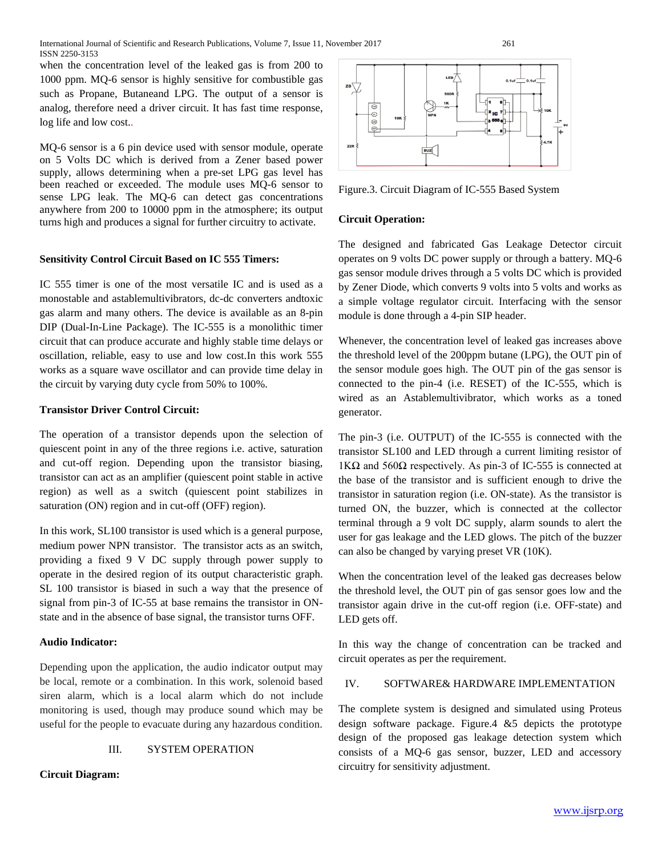when the concentration level of the leaked gas is from 200 to 1000 ppm. MQ-6 sensor is highly sensitive for combustible gas such as Propane, Butaneand LPG. The output of a sensor is analog, therefore need a driver circuit. It has fast time response, log life and low cost..

MQ-6 sensor is a 6 pin device used with sensor module, operate on 5 Volts DC which is derived from a Zener based power supply, allows determining when a pre-set LPG gas level has been reached or exceeded. The module uses MQ-6 sensor to sense LPG leak. The MQ-6 can detect gas concentrations anywhere from 200 to 10000 ppm in the atmosphere; its output turns high and produces a signal for further circuitry to activate.

## **Sensitivity Control Circuit Based on IC 555 Timers:**

IC 555 timer is one of the most versatile IC and is used as a monostable and astablemultivibrators, dc-dc converters andtoxic gas alarm and many others. The device is available as an 8-pin DIP (Dual-In-Line Package). The IC-555 is a monolithic timer circuit that can produce accurate and highly stable time delays or oscillation, reliable, easy to use and low cost.In this work 555 works as a square wave oscillator and can provide time delay in the circuit by varying duty cycle from 50% to 100%.

## **Transistor Driver Control Circuit:**

The operation of a transistor depends upon the selection of quiescent point in any of the three regions i.e. active, saturation and cut-off region. Depending upon the transistor biasing, transistor can act as an amplifier (quiescent point stable in active region) as well as a switch (quiescent point stabilizes in saturation (ON) region and in cut-off (OFF) region).

In this work, SL100 transistor is used which is a general purpose, medium power NPN transistor. The transistor acts as an switch, providing a fixed 9 V DC supply through power supply to operate in the desired region of its output characteristic graph. SL 100 transistor is biased in such a way that the presence of signal from pin-3 of IC-55 at base remains the transistor in ONstate and in the absence of base signal, the transistor turns OFF.

# **Audio Indicator:**

Depending upon the application, the audio indicator output may be local, remote or a combination. In this work, solenoid based siren alarm, which is a local alarm which do not include monitoring is used, though may produce sound which may be useful for the people to evacuate during any hazardous condition.

#### III. SYSTEM OPERATION

## **Circuit Diagram:**



Figure.3. Circuit Diagram of IC-555 Based System

## **Circuit Operation:**

The designed and fabricated Gas Leakage Detector circuit operates on 9 volts DC power supply or through a battery. MQ-6 gas sensor module drives through a 5 volts DC which is provided by Zener Diode, which converts 9 volts into 5 volts and works as a simple voltage regulator circuit. Interfacing with the sensor module is done through a 4-pin SIP header.

Whenever, the concentration level of leaked gas increases above the threshold level of the 200ppm butane (LPG), the OUT pin of the sensor module goes high. The OUT pin of the gas sensor is connected to the pin-4 (i.e. RESET) of the IC-555, which is wired as an Astablemultivibrator, which works as a toned generator.

The pin-3 (i.e. OUTPUT) of the IC-555 is connected with the transistor SL100 and LED through a current limiting resistor of 1KΩ and 560Ω respectively. As pin-3 of IC-555 is connected at the base of the transistor and is sufficient enough to drive the transistor in saturation region (i.e. ON-state). As the transistor is turned ON, the buzzer, which is connected at the collector terminal through a 9 volt DC supply, alarm sounds to alert the user for gas leakage and the LED glows. The pitch of the buzzer can also be changed by varying preset VR (10K).

When the concentration level of the leaked gas decreases below the threshold level, the OUT pin of gas sensor goes low and the transistor again drive in the cut-off region (i.e. OFF-state) and LED gets off.

In this way the change of concentration can be tracked and circuit operates as per the requirement.

### IV. SOFTWARE& HARDWARE IMPLEMENTATION

The complete system is designed and simulated using Proteus design software package. Figure.4 &5 depicts the prototype design of the proposed gas leakage detection system which consists of a MQ-6 gas sensor, buzzer, LED and accessory circuitry for sensitivity adjustment.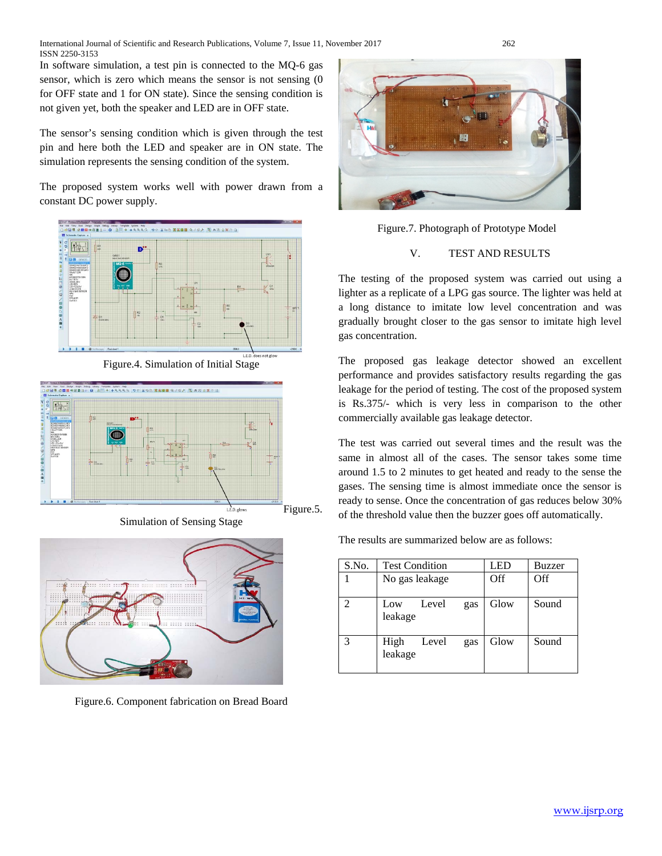In software simulation, a test pin is connected to the MQ-6 gas sensor, which is zero which means the sensor is not sensing (0 for OFF state and 1 for ON state). Since the sensing condition is not given yet, both the speaker and LED are in OFF state.

The sensor's sensing condition which is given through the test pin and here both the LED and speaker are in ON state. The simulation represents the sensing condition of the system.

The proposed system works well with power drawn from a constant DC power supply.



Figure.4. Simulation of Initial Stage



Simulation of Sensing Stage



Figure.6. Component fabrication on Bread Board



Figure.7. Photograph of Prototype Model

#### V. TEST AND RESULTS

The testing of the proposed system was carried out using a lighter as a replicate of a LPG gas source. The lighter was held at a long distance to imitate low level concentration and was gradually brought closer to the gas sensor to imitate high level gas concentration.

The proposed gas leakage detector showed an excellent performance and provides satisfactory results regarding the gas leakage for the period of testing. The cost of the proposed system is Rs.375/- which is very less in comparison to the other commercially available gas leakage detector.

The test was carried out several times and the result was the same in almost all of the cases. The sensor takes some time around 1.5 to 2 minutes to get heated and ready to the sense the gases. The sensing time is almost immediate once the sensor is ready to sense. Once the concentration of gas reduces below 30% of the threshold value then the buzzer goes off automatically.

The results are summarized below are as follows:

| S.No. | <b>Test Condition</b>           | <b>LED</b> | Buzzer |
|-------|---------------------------------|------------|--------|
|       | No gas leakage                  | Off        | Off    |
|       | Level<br>Low<br>gas<br>leakage  | Glow       | Sound  |
| 3     | High<br>Level<br>gas<br>leakage | Glow       | Sound  |